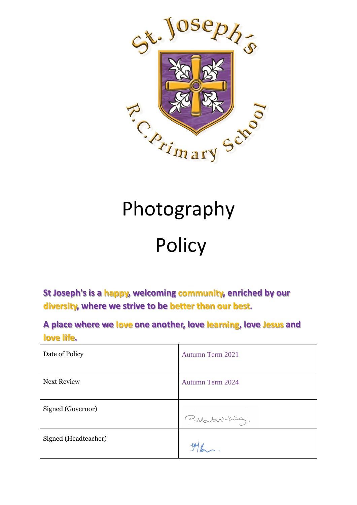

# Photography

## **Policy**

**St Joseph's is a happy, welcoming community, enriched by our diversity, where we strive to be better than our best.**

**A place where we love one another, love learning, love Jesus and love life.**

| Date of Policy       | <b>Autumn Term 2021</b> |
|----------------------|-------------------------|
| <b>Next Review</b>   | <b>Autumn Term 2024</b> |
| Signed (Governor)    | P. Martin-King.         |
| Signed (Headteacher) |                         |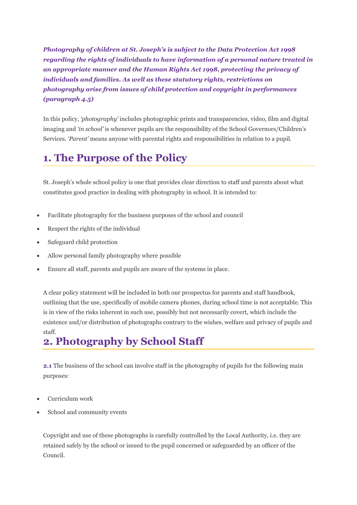*Photography of children at St. Joseph's is subject to the Data Protection Act 1998 regarding the rights of individuals to have information of a personal nature treated in an appropriate manner and the Human Rights Act 1998, protecting the privacy of individuals and families. As well as these statutory rights, restrictions on photography arise from issues of child protection and copyright in performances (paragraph 4.5)*

In this policy, *'photography'* includes photographic prints and transparencies, video, film and digital imaging and *'in school'* is whenever pupils are the responsibility of the School Governors/Children's Services. *'Parent'* means anyone with parental rights and responsibilities in relation to a pupil.

### **1. The Purpose of the Policy**

St. Joseph's whole school policy is one that provides clear direction to staff and parents about what constitutes good practice in dealing with photography in school. It is intended to:

- Facilitate photography for the business purposes of the school and council
- Respect the rights of the individual
- Safeguard child protection
- Allow personal family photography where possible
- Ensure all staff, parents and pupils are aware of the systems in place.

A clear policy statement will be included in both our prospectus for parents and staff handbook, outlining that the use, specifically of mobile camera phones, during school time is not acceptable. This is in view of the risks inherent in such use, possibly but not necessarily covert, which include the existence and/or distribution of photographs contrary to the wishes, welfare and privacy of pupils and staff.

### **2. Photography by School Staff**

**2.1** The business of the school can involve staff in the photography of pupils for the following main purposes:

- Curriculum work
- School and community events

Copyright and use of these photographs is carefully controlled by the Local Authority, i.e. they are retained safely by the school or issued to the pupil concerned or safeguarded by an officer of the Council.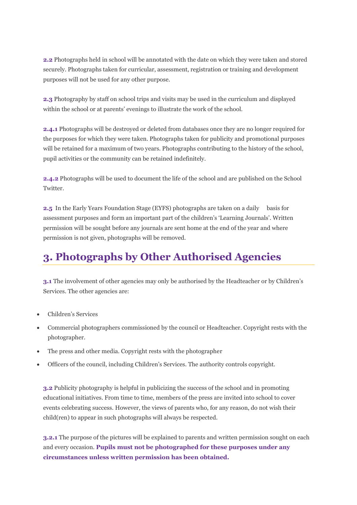**2.2** Photographs held in school will be annotated with the date on which they were taken and stored securely. Photographs taken for curricular, assessment, registration or training and development purposes will not be used for any other purpose.

**2.3** Photography by staff on school trips and visits may be used in the curriculum and displayed within the school or at parents' evenings to illustrate the work of the school.

**2.4.1** Photographs will be destroyed or deleted from databases once they are no longer required for the purposes for which they were taken. Photographs taken for publicity and promotional purposes will be retained for a maximum of two years. Photographs contributing to the history of the school, pupil activities or the community can be retained indefinitely.

**2.4.2** Photographs will be used to document the life of the school and are published on the School **Twitter** 

**2.5** In the Early Years Foundation Stage (EYFS) photographs are taken on a daily basis for assessment purposes and form an important part of the children's 'Learning Journals'. Written permission will be sought before any journals are sent home at the end of the year and where permission is not given, photographs will be removed.

#### **3. Photographs by Other Authorised Agencies**

**3.1** The involvement of other agencies may only be authorised by the Headteacher or by Children's Services. The other agencies are:

- Children's Services
- Commercial photographers commissioned by the council or Headteacher. Copyright rests with the photographer.
- The press and other media. Copyright rests with the photographer
- Officers of the council, including Children's Services. The authority controls copyright.

**3.2** Publicity photography is helpful in publicizing the success of the school and in promoting educational initiatives. From time to time, members of the press are invited into school to cover events celebrating success. However, the views of parents who, for any reason, do not wish their child(ren) to appear in such photographs will always be respected.

**3.2.1** The purpose of the pictures will be explained to parents and written permission sought on each and every occasion. **Pupils must not be photographed for these purposes under any circumstances unless written permission has been obtained.**